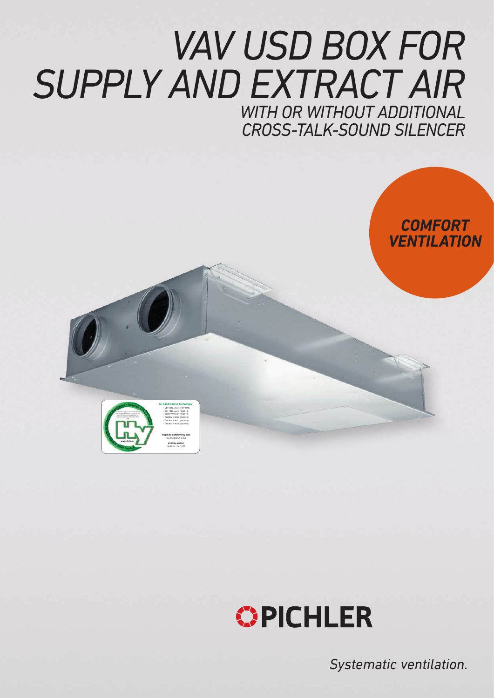# *VAV USD BOX FOR SUPPLY AND EXTRACT AIR WITH OR WITHOUT ADDITIONAL CROSS-TALK-SOUND SILENCER*

# *COMFORT VENTILATION*



 SWKI VA104-01 (01/2019) ÖNORM H 6038 (02/2020) **Hygiene conformity test** W-350995-21-Zd **Validity period:**  04/2021 - 04/2026



*Systematic ventilation.*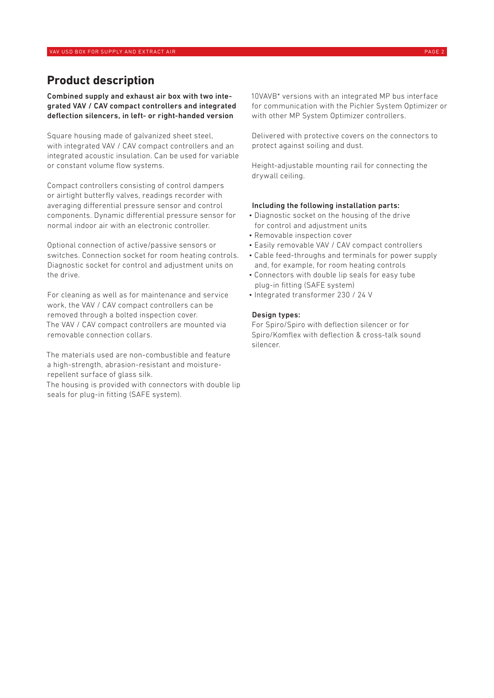## **Product description**

Combined supply and exhaust air box with two integrated VAV / CAV compact controllers and integrated deflection silencers, in left- or right-handed version

Square housing made of galvanized sheet steel, with integrated VAV / CAV compact controllers and an integrated acoustic insulation. Can be used for variable or constant volume flow systems.

Compact controllers consisting of control dampers or airtight butterfly valves, readings recorder with averaging differential pressure sensor and control components. Dynamic differential pressure sensor for normal indoor air with an electronic controller.

Optional connection of active/passive sensors or switches. Connection socket for room heating controls. Diagnostic socket for control and adjustment units on the drive.

For cleaning as well as for maintenance and service work, the VAV / CAV compact controllers can be removed through a bolted inspection cover. The VAV / CAV compact controllers are mounted via removable connection collars.

The materials used are non-combustible and feature a high-strength, abrasion-resistant and moisturerepellent surface of glass silk.

The housing is provided with connectors with double lip seals for plug-in fitting (SAFE system).

10VAVB\* versions with an integrated MP bus interface for communication with the Pichler System Optimizer or with other MP System Optimizer controllers.

Delivered with protective covers on the connectors to protect against soiling and dust.

Height-adjustable mounting rail for connecting the drywall ceiling.

#### Including the following installation parts:

- Diagnostic socket on the housing of the drive for control and adjustment units
- Removable inspection cover
- Easily removable VAV / CAV compact controllers
- Cable feed-throughs and terminals for power supply and, for example, for room heating controls
- Connectors with double lip seals for easy tube plug-in fitting (SAFE system)
- Integrated transformer 230 / 24 V

#### Design types:

For Spiro/Spiro with deflection silencer or for Spiro/Komflex with deflection & cross-talk sound silencer.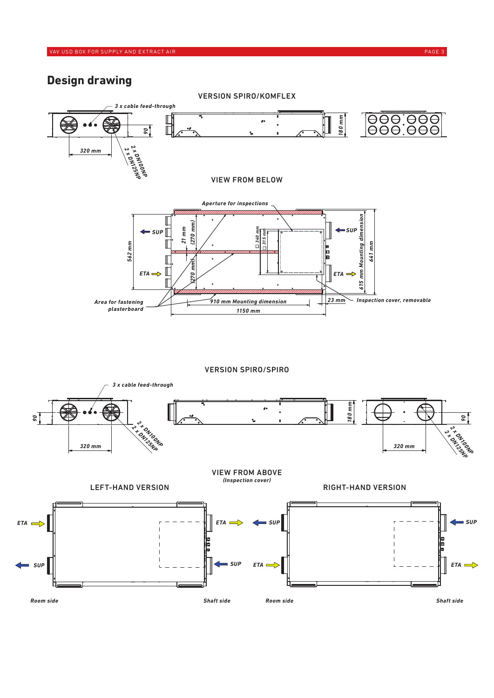*90*

## **Design drawing**

*90*



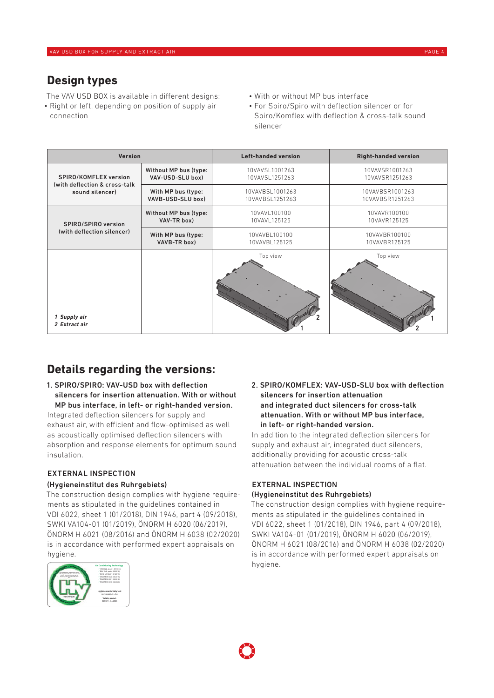## **Design types**

The VAV USD BOX is available in different designs:

- Right or left, depending on position of supply air connection
- With or without MP bus interface
- For Spiro/Spiro with deflection silencer or for Spiro/Komflex with deflection & cross-talk sound silencer

| <b>Version</b>                |                       | <b>Left-handed version</b> | <b>Right-handed version</b> |
|-------------------------------|-----------------------|----------------------------|-----------------------------|
| SPIRO/KOMFLEX version         | Without MP bus (type: | 10VAVSL1001263             | 10VAVSR1001263              |
| (with deflection & cross-talk | VAV-USD-SLU box)      | 10VAVSL1251263             | 10VAVSR1251263              |
| sound silencer)               | With MP bus (type:    | 10VAVBSL1001263            | 10VAVBSR1001263             |
|                               | VAVB-USD-SLU box)     | 10VAVBSL1251263            | 10VAVBSR1251263             |
| SPIRO/SPIRO version           | Without MP bus (type: | 10VAVL100100               | 10VAVR100100                |
|                               | VAV-TR box)           | 10VAVL125125               | 10VAVR125125                |
| (with deflection silencer)    | With MP bus (type:    | 10VAVBL100100              | 10VAVBR100100               |
|                               | VAVB-TR box)          | 10VAVBL125125              | 10VAVBR125125               |
| 1 Supply air<br>2 Extract air |                       | Top view                   | Top view                    |

# **Details regarding the versions:**

1. SPIRO/SPIRO: VAV-USD box with deflection silencers for insertion attenuation. With or without MP bus interface, in left- or right-handed version. Integrated deflection silencers for supply and exhaust air, with efficient and flow-optimised as well as acoustically optimised deflection silencers with absorption and response elements for optimum sound

## EXTERNAL INSPECTION

insulation.

### (Hygieneinstitut des Ruhrgebiets)

The construction design complies with hygiene requirements as stipulated in the guidelines contained in VDI 6022, sheet 1 (01/2018), DIN 1946, part 4 (09/2018), SWKI VA104-01 (01/2019), ÖNORM H 6020 (06/2019), ÖNORM H 6021 (08/2016) and ÖNORM H 6038 (02/2020) is in accordance with performed expert appraisals on hygiene.



2. SPIRO/KOMFLEX: VAV-USD-SLU box with deflection silencers for insertion attenuation and integrated duct silencers for cross-talk attenuation. With or without MP bus interface, in left- or right-handed version.

In addition to the integrated deflection silencers for supply and exhaust air, integrated duct silencers, additionally providing for acoustic cross-talk attenuation between the individual rooms of a flat.

#### EXTERNAL INSPECTION (Hygieneinstitut des Ruhrgebiets)

The construction design complies with hygiene requirements as stipulated in the guidelines contained in VDI 6022, sheet 1 (01/2018), DIN 1946, part 4 (09/2018), SWKI VA104-01 (01/2019), ÖNORM H 6020 (06/2019), ÖNORM H 6021 (08/2016) and ÖNORM H 6038 (02/2020) is in accordance with performed expert appraisals on hygiene.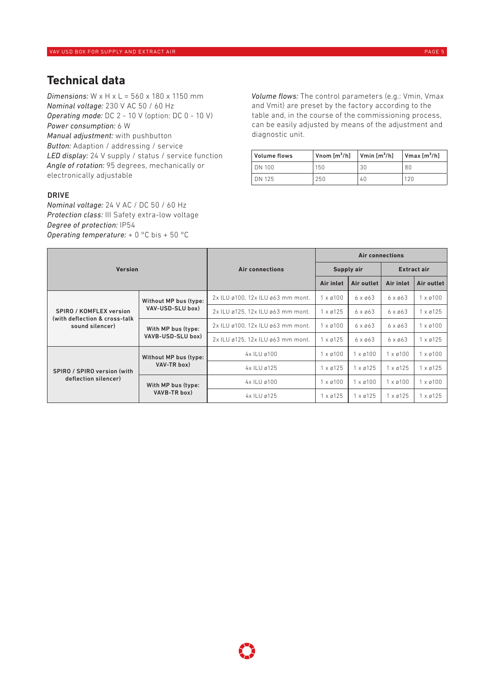## **Technical data**

*Dimensions:* W x H x L = 560 x 180 x 1150 mm *Nominal voltage:* 230 V AC 50 / 60 Hz *Operating mode:* DC 2 - 10 V (option: DC 0 - 10 V) *Power consumption:* 6 W *Manual adjustment:* with pushbutton *Button:* Adaption / addressing / service *LED display:* 24 V supply / status / service function *Angle of rotation:* 95 degrees, mechanically or electronically adjustable

#### DRIVE

*Nominal voltage:* 24 V AC / DC 50 / 60 Hz *Protection class:* III Safety extra-low voltage *Degree of protection:* IP54 *Operating temperature:* + 0 °C bis + 50 °C

*Volume flows:* The control parameters (e.g.: Vmin, Vmax and Vmit) are preset by the factory according to the table and, in the course of the commissioning process, can be easily adjusted by means of the adjustment and diagnostic unit.

| Volume flows | $\sqrt{2}$ Vnom $\left[\text{m}^3/\text{h}\right]$ | $\sqrt{\text{W}}$ Vmin $\left[\text{m}^3/\text{h}\right]$ | $V$ max $[m^3/h]$ |
|--------------|----------------------------------------------------|-----------------------------------------------------------|-------------------|
| DN 100       | 150                                                | 30                                                        | 80                |
| DN 125       | 250                                                | 40                                                        | 120               |

| <b>Version</b>                 |                                                                                                                        |                                   | <b>Air connections</b>   |                   |                    |                 |
|--------------------------------|------------------------------------------------------------------------------------------------------------------------|-----------------------------------|--------------------------|-------------------|--------------------|-----------------|
|                                |                                                                                                                        | <b>Air connections</b>            | Supply air               |                   | <b>Extract air</b> |                 |
|                                |                                                                                                                        |                                   | <b>Air inlet</b>         | <b>Air outlet</b> | <b>Air inlet</b>   | Air outlet      |
|                                | Without MP bus (type:<br>VAV-USD-SLU box)<br>(with deflection & cross-talk)<br>With MP bus (type:<br>VAVB-USD-SLU box) | 2x ILU ø100, 12x ILU ø63 mm mont. | $1 \times 0100$          | $6 \times 063$    | $6 \times 063$     | $1 \times 0100$ |
| <b>SPIRO / KOMFLEX version</b> |                                                                                                                        | 2x ILU ø125, 12x ILU ø63 mm mont. | $1 \times 0125$          | $6 \times 063$    | $6 \times 063$     | $1 \times 0125$ |
| sound silencer)                |                                                                                                                        | 2x ILU ø100, 12x ILU ø63 mm mont. | $1 \times 0100$          | $6 \times 063$    | $6 \times 063$     | $1 \times 0100$ |
|                                |                                                                                                                        | 2x ILU ø125, 12x ILU ø63 mm mont. | $1 \times 0125$          | $6 \times 063$    | $6 \times 063$     | $1 \times 0125$ |
|                                | Without MP bus (type:                                                                                                  | 4x ILU ø100                       | $1 \times \emptyset 100$ | $1 \times 0100$   | x ø100             | $1 \times 0100$ |
| SPIRO / SPIRO version (with    | VAV-TR box)                                                                                                            | 4x ILU ø125                       | $1 \times 0125$          | $1 \times 0125$   | $1 \times 0125$    | $1 \times 0125$ |
| deflection silencer)           | With MP bus (type:<br>VAVB-TR box)                                                                                     | 4x ILU ø100                       | $1 \times 0100$          | $1 \times 0100$   | 1 x ø100           | $1 \times 0100$ |
|                                |                                                                                                                        | 4x ILU ø125                       | $1 \times 0125$          | $1 \times 0125$   | $1 \times 0125$    | $1 \times 0125$ |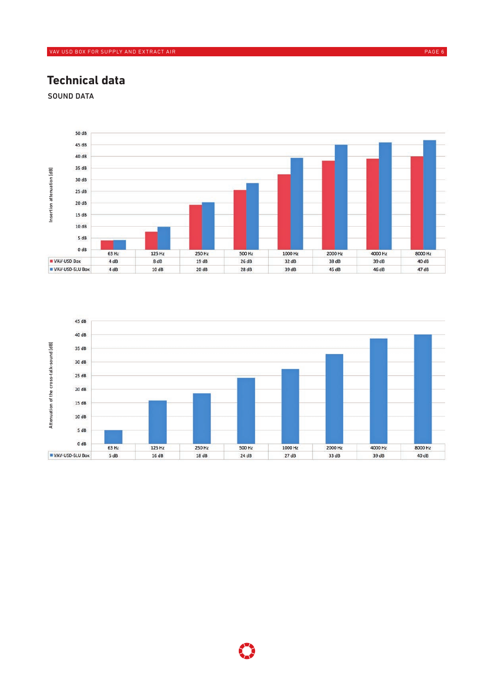## **Technical data**

SOUND DATA



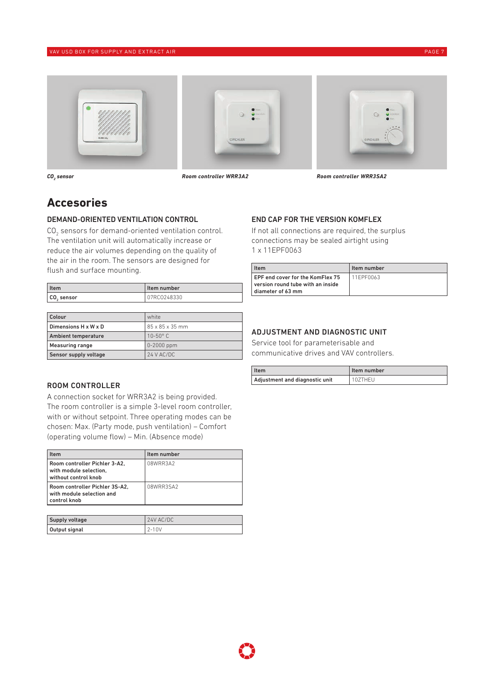#### VAV USD BOX FOR SUPPLY AND EXTRACT AIR PAGE 7 AND THE SUPPLY AND THE SUPPLY AND THE SUPPLY AND EXTRACT AIR PAGE 7







CO<sub>2</sub> sensor

 *sensor Room controller WRR3A2 Room controller WRR3SA2*

## **Accesories**

#### DEMAND-ORIENTED VENTILATION CONTROL

 $\mathrm{CO}_2$  sensors for demand-oriented ventilation control. The ventilation unit will automatically increase or reduce the air volumes depending on the quality of the air in the room. The sensors are designed for flush and surface mounting.

| <b>I</b> tem           | l Item number |
|------------------------|---------------|
| CO <sub>2</sub> sensor | 07RC0248330   |
|                        |               |
| $\sim$                 | .             |

| <b>Colour</b>         | white           |
|-----------------------|-----------------|
| Dimensions H x W x D  | 85 x 85 x 35 mm |
| Ambient temperature   | $10-50^\circ$ C |
| Measuring range       | $0 - 2000$ ppm  |
| Sensor supply voltage | 24 V AC/DC      |

#### ROOM CONTROLLER

A connection socket for WRR3A2 is being provided. The room controller is a simple 3-level room controller, with or without setpoint. Three operating modes can be chosen: Max. (Party mode, push ventilation) – Comfort (operating volume flow) – Min. (Absence mode)

| Item                                                                            | Item number |
|---------------------------------------------------------------------------------|-------------|
| Room controller Pichler 3-A2.<br>with module selection.<br>without control knob | 08WRR3A2    |
| Room controller Pichler 3S-A2.<br>with module selection and<br>control knob     | 08WRR3SA2   |

| Supply voltage | $24V$ AC/DC |
|----------------|-------------|
| Output signal  | $2 - 10V$   |

#### END CAP FOR THE VERSION KOMFLEX

If not all connections are required, the surplus connections may be sealed airtight using 1 x 11EPF0063

| l Item                                                                                     | Item number |
|--------------------------------------------------------------------------------------------|-------------|
| EPF end cover for the KomFlex 75<br>version round tube with an inside<br>diameter of 63 mm | 111FPF0063  |

## ADJUSTMENT AND DIAGNOSTIC UNIT

Service tool for parameterisable and communicative drives and VAV controllers.

| Item                           | l Item number |
|--------------------------------|---------------|
| Adjustment and diagnostic unit | 107THFU       |